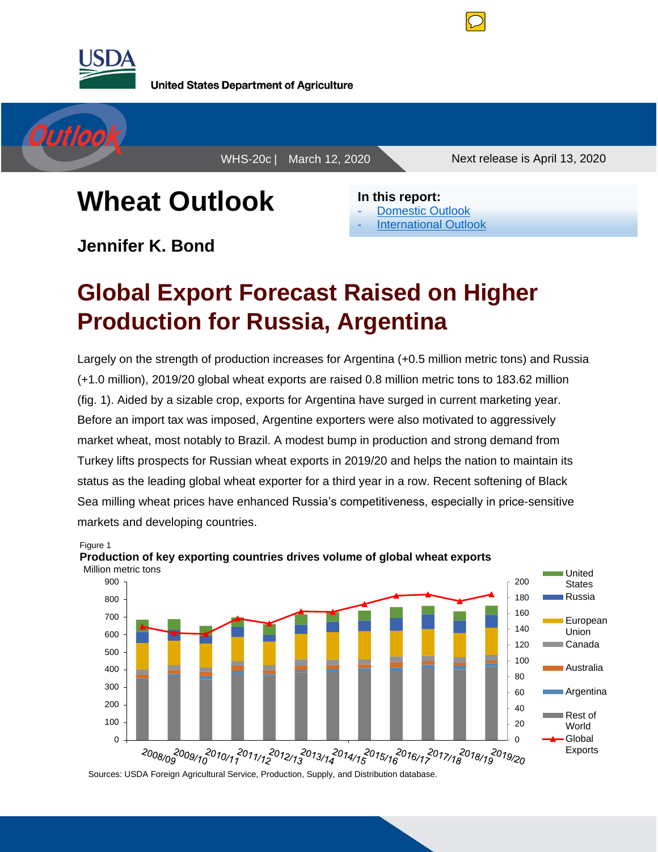

**United States Department of Agriculture** 



WHS-20c | March 12, 2020 Next release is April 13, 2020

# **Wheat Outlook**

**Jennifer K. Bond** 

**In this report:** [Domestic Outlook](#page-1-0) **[International Outlook](#page-5-0)** 

## **Global Export Forecast Raised on Higher Production for Russia, Argentina**

Largely on the strength of production increases for Argentina (+0.5 million metric tons) and Russia (+1.0 million), 2019/20 global wheat exports are raised 0.8 million metric tons to 183.62 million (fig. 1). Aided by a sizable crop, exports for Argentina have surged in current marketing year. Before an import tax was imposed, Argentine exporters were also motivated to aggressively market wheat, most notably to Brazil. A modest bump in production and strong demand from Turkey lifts prospects for Russian wheat exports in 2019/20 and helps the nation to maintain its status as the leading global wheat exporter for a third year in a row. Recent softening of Black Sea milling wheat prices have enhanced Russia's competitiveness, especially in price-sensitive markets and developing countries.



Figure 1 **Production of key exporting countries drives volume of global wheat exports** Million metric tons

Sources: USDA Foreign Agricultural Service, Production, Supply, and Distribution database.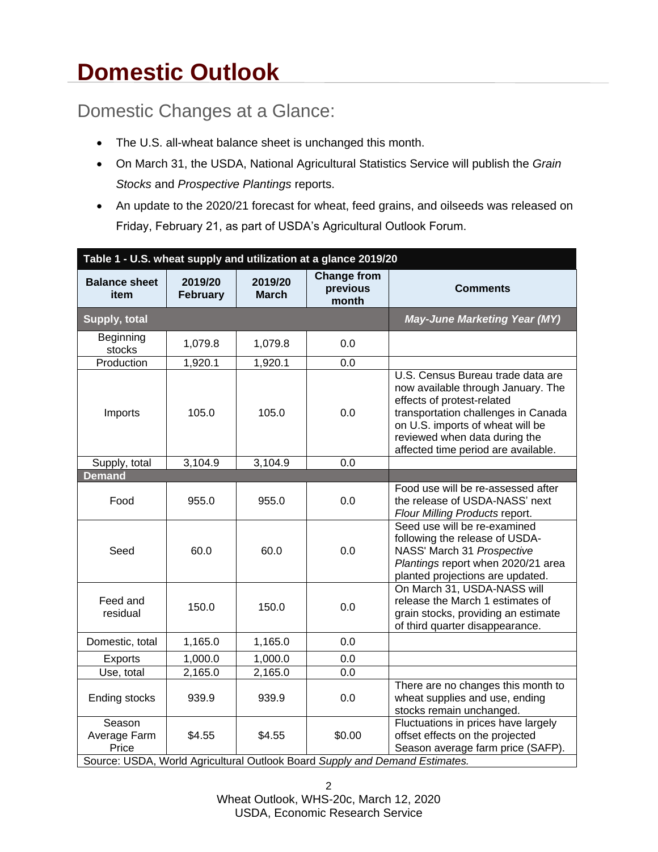## <span id="page-1-0"></span>**Domestic Outlook**

### Domestic Changes at a Glance:

- The U.S. all-wheat balance sheet is unchanged this month.
- On March 31, the USDA, National Agricultural Statistics Service will publish the *Grain Stocks* and *Prospective Plantings* reports.
- An update to the 2020/21 forecast for wheat, feed grains, and oilseeds was released on Friday, February 21, as part of USDA's Agricultural Outlook Forum.

| Table 1 - U.S. wheat supply and utilization at a glance 2019/20 |                            |                         |                                                                                       |                                                                                                                                                                                                                                                          |
|-----------------------------------------------------------------|----------------------------|-------------------------|---------------------------------------------------------------------------------------|----------------------------------------------------------------------------------------------------------------------------------------------------------------------------------------------------------------------------------------------------------|
| <b>Balance sheet</b><br>item                                    | 2019/20<br><b>February</b> | 2019/20<br><b>March</b> | <b>Change from</b><br>previous<br>month                                               | <b>Comments</b>                                                                                                                                                                                                                                          |
| Supply, total                                                   |                            |                         |                                                                                       | <b>May-June Marketing Year (MY)</b>                                                                                                                                                                                                                      |
| Beginning<br>stocks                                             | 1,079.8                    | 1,079.8                 | 0.0                                                                                   |                                                                                                                                                                                                                                                          |
| Production                                                      | 1,920.1                    | 1,920.1                 | 0.0                                                                                   |                                                                                                                                                                                                                                                          |
| Imports                                                         | 105.0                      | 105.0                   | 0.0                                                                                   | U.S. Census Bureau trade data are<br>now available through January. The<br>effects of protest-related<br>transportation challenges in Canada<br>on U.S. imports of wheat will be<br>reviewed when data during the<br>affected time period are available. |
| Supply, total                                                   | 3,104.9                    | 3,104.9                 | 0.0                                                                                   |                                                                                                                                                                                                                                                          |
| Demand                                                          |                            |                         |                                                                                       |                                                                                                                                                                                                                                                          |
| Food                                                            | 955.0                      | 955.0                   | 0.0                                                                                   | Food use will be re-assessed after<br>the release of USDA-NASS' next<br>Flour Milling Products report.                                                                                                                                                   |
| Seed                                                            | 60.0                       | 60.0                    | 0.0                                                                                   | Seed use will be re-examined<br>following the release of USDA-<br>NASS' March 31 Prospective<br>Plantings report when 2020/21 area<br>planted projections are updated.                                                                                   |
| Feed and<br>residual                                            | 150.0                      | 150.0                   | 0.0                                                                                   | On March 31, USDA-NASS will<br>release the March 1 estimates of<br>grain stocks, providing an estimate<br>of third quarter disappearance.                                                                                                                |
| Domestic, total                                                 | 1,165.0                    | 1,165.0                 | 0.0                                                                                   |                                                                                                                                                                                                                                                          |
| Exports                                                         | 1,000.0                    | 1,000.0                 | 0.0                                                                                   |                                                                                                                                                                                                                                                          |
| Use, total                                                      | 2,165.0                    | 2,165.0                 | 0.0                                                                                   |                                                                                                                                                                                                                                                          |
| Ending stocks                                                   | 939.9                      | 939.9                   | 0.0                                                                                   | There are no changes this month to<br>wheat supplies and use, ending<br>stocks remain unchanged.                                                                                                                                                         |
| Season<br>Average Farm<br>Price                                 | \$4.55                     | \$4.55                  | \$0.00<br>Source: USDA, World Agricultural Outlook Board Supply and Demand Estimates. | Fluctuations in prices have largely<br>offset effects on the projected<br>Season average farm price (SAFP).                                                                                                                                              |

2 Wheat Outlook, WHS-20c, March 12, 2020 USDA, Economic Research Service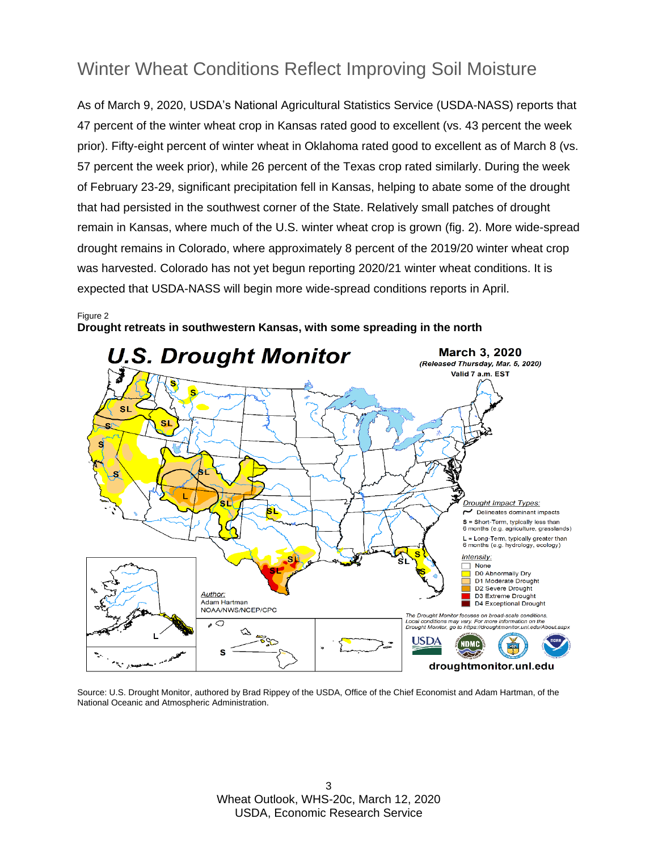### Winter Wheat Conditions Reflect Improving Soil Moisture

As of March 9, 2020, USDA's National Agricultural Statistics Service (USDA-NASS) reports that 47 percent of the winter wheat crop in Kansas rated good to excellent (vs. 43 percent the week prior). Fifty-eight percent of winter wheat in Oklahoma rated good to excellent as of March 8 (vs. 57 percent the week prior), while 26 percent of the Texas crop rated similarly. During the week of February 23-29, significant precipitation fell in Kansas, helping to abate some of the drought that had persisted in the southwest corner of the State. Relatively small patches of drought remain in Kansas, where much of the U.S. winter wheat crop is grown (fig. 2). More wide-spread drought remains in Colorado, where approximately 8 percent of the 2019/20 winter wheat crop was harvested. Colorado has not yet begun reporting 2020/21 winter wheat conditions. It is expected that USDA-NASS will begin more wide-spread conditions reports in April.

#### Figure 2



**Drought retreats in southwestern Kansas, with some spreading in the north** 

Source: U.S. Drought Monitor, authored by Brad Rippey of the USDA, Office of the Chief Economist and Adam Hartman, of the National Oceanic and Atmospheric Administration.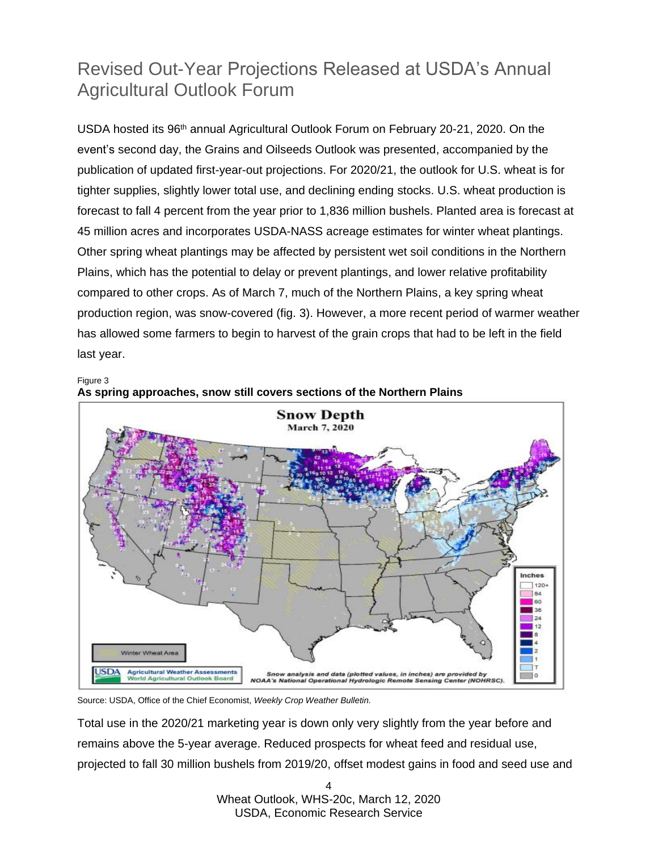### Revised Out-Year Projections Released at USDA's Annual Agricultural Outlook Forum

USDA hosted its 96<sup>th</sup> annual Agricultural Outlook Forum on February 20-21, 2020. On the event's second day, the Grains and Oilseeds Outlook was presented, accompanied by the publication of updated first-year-out projections. For 2020/21, the outlook for U.S. wheat is for tighter supplies, slightly lower total use, and declining ending stocks. U.S. wheat production is forecast to fall 4 percent from the year prior to 1,836 million bushels. Planted area is forecast at 45 million acres and incorporates USDA-NASS acreage estimates for winter wheat plantings. Other spring wheat plantings may be affected by persistent wet soil conditions in the Northern Plains, which has the potential to delay or prevent plantings, and lower relative profitability compared to other crops. As of March 7, much of the Northern Plains, a key spring wheat production region, was snow-covered (fig. 3). However, a more recent period of warmer weather has allowed some farmers to begin to harvest of the grain crops that had to be left in the field last year.

Figure 3



**As spring approaches, snow still covers sections of the Northern Plains** 

Source: USDA, Office of the Chief Economist, *Weekly Crop Weather Bulletin.* 

Total use in the 2020/21 marketing year is down only very slightly from the year before and remains above the 5-year average. Reduced prospects for wheat feed and residual use, projected to fall 30 million bushels from 2019/20, offset modest gains in food and seed use and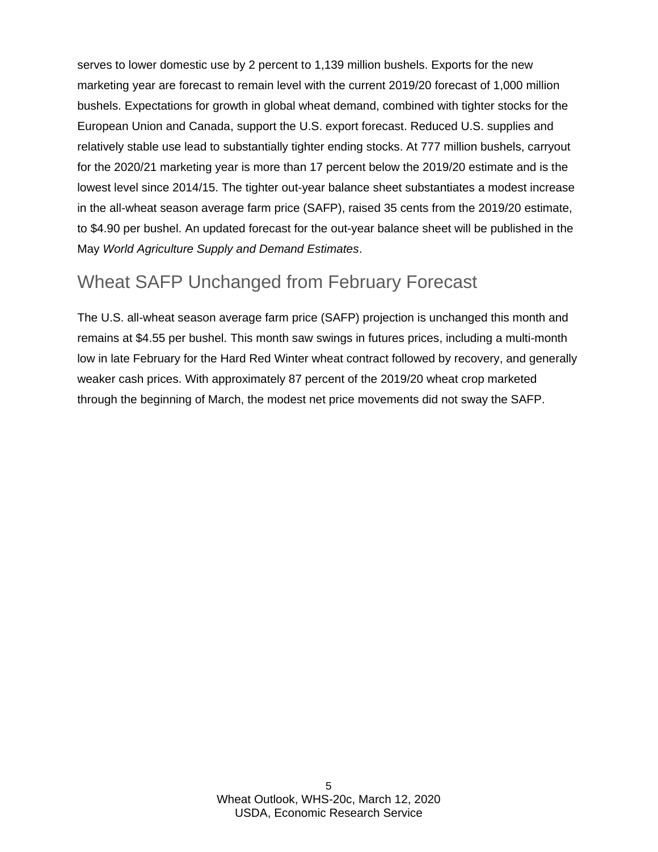serves to lower domestic use by 2 percent to 1,139 million bushels. Exports for the new marketing year are forecast to remain level with the current 2019/20 forecast of 1,000 million bushels. Expectations for growth in global wheat demand, combined with tighter stocks for the European Union and Canada, support the U.S. export forecast. Reduced U.S. supplies and relatively stable use lead to substantially tighter ending stocks. At 777 million bushels, carryout for the 2020/21 marketing year is more than 17 percent below the 2019/20 estimate and is the lowest level since 2014/15. The tighter out-year balance sheet substantiates a modest increase in the all-wheat season average farm price (SAFP), raised 35 cents from the 2019/20 estimate, to \$4.90 per bushel. An updated forecast for the out-year balance sheet will be published in the May *World Agriculture Supply and Demand Estimates*.

### Wheat SAFP Unchanged from February Forecast

The U.S. all-wheat season average farm price (SAFP) projection is unchanged this month and remains at \$4.55 per bushel. This month saw swings in futures prices, including a multi-month low in late February for the Hard Red Winter wheat contract followed by recovery, and generally weaker cash prices. With approximately 87 percent of the 2019/20 wheat crop marketed through the beginning of March, the modest net price movements did not sway the SAFP.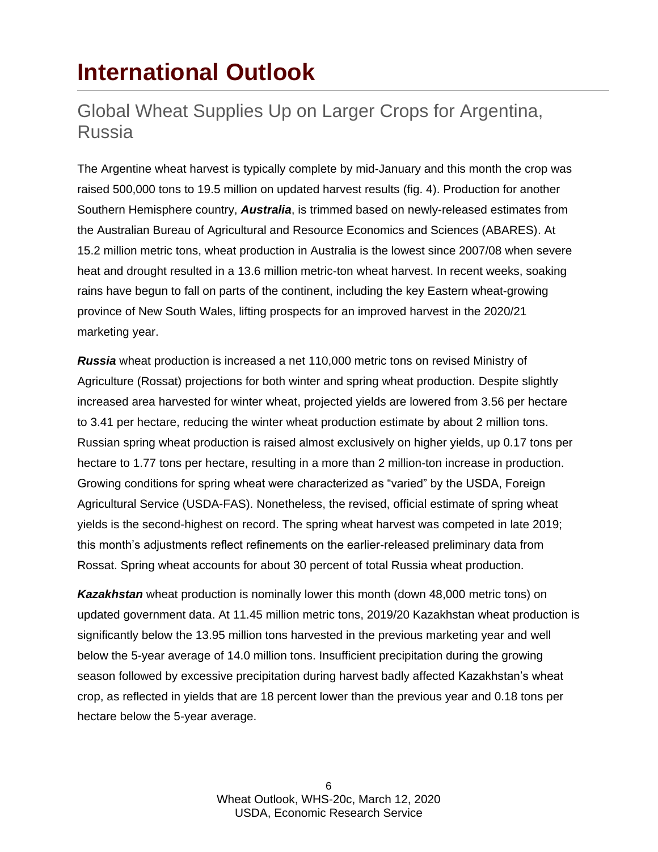## <span id="page-5-0"></span>**International Outlook**

### Global Wheat Supplies Up on Larger Crops for Argentina, Russia

The Argentine wheat harvest is typically complete by mid-January and this month the crop was raised 500,000 tons to 19.5 million on updated harvest results (fig. 4). Production for another Southern Hemisphere country, *Australia*, is trimmed based on newly-released estimates from the Australian Bureau of Agricultural and Resource Economics and Sciences (ABARES). At 15.2 million metric tons, wheat production in Australia is the lowest since 2007/08 when severe heat and drought resulted in a 13.6 million metric-ton wheat harvest. In recent weeks, soaking rains have begun to fall on parts of the continent, including the key Eastern wheat-growing province of New South Wales, lifting prospects for an improved harvest in the 2020/21 marketing year.

*Russia* wheat production is increased a net 110,000 metric tons on revised Ministry of Agriculture (Rossat) projections for both winter and spring wheat production. Despite slightly increased area harvested for winter wheat, projected yields are lowered from 3.56 per hectare to 3.41 per hectare, reducing the winter wheat production estimate by about 2 million tons. Russian spring wheat production is raised almost exclusively on higher yields, up 0.17 tons per hectare to 1.77 tons per hectare, resulting in a more than 2 million-ton increase in production. Growing conditions for spring wheat were characterized as "varied" by the USDA, Foreign Agricultural Service (USDA-FAS). Nonetheless, the revised, official estimate of spring wheat yields is the second-highest on record. The spring wheat harvest was competed in late 2019; this month's adjustments reflect refinements on the earlier-released preliminary data from Rossat. Spring wheat accounts for about 30 percent of total Russia wheat production.

*Kazakhstan* wheat production is nominally lower this month (down 48,000 metric tons) on updated government data. At 11.45 million metric tons, 2019/20 Kazakhstan wheat production is significantly below the 13.95 million tons harvested in the previous marketing year and well below the 5-year average of 14.0 million tons. Insufficient precipitation during the growing season followed by excessive precipitation during harvest badly affected Kazakhstan's wheat crop, as reflected in yields that are 18 percent lower than the previous year and 0.18 tons per hectare below the 5-year average.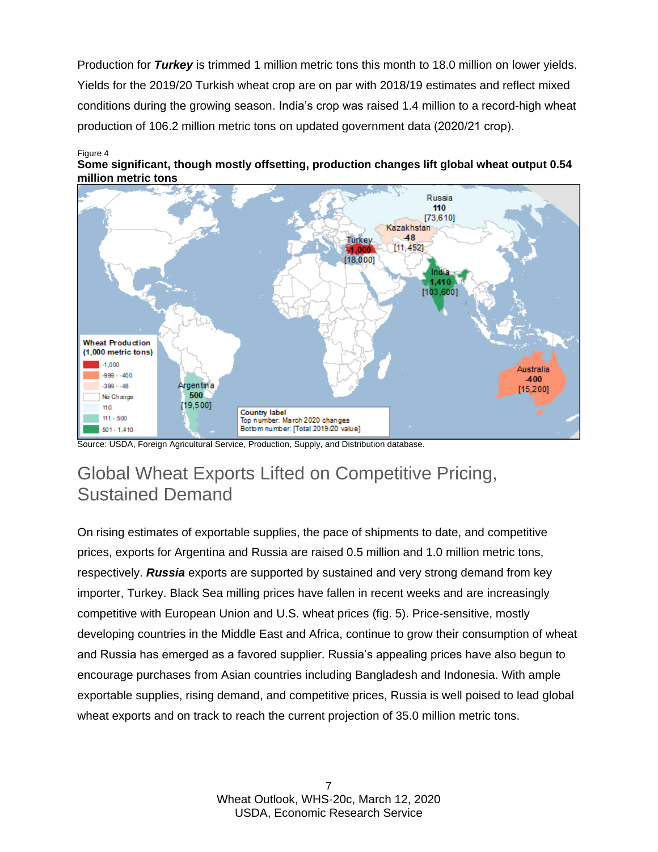Production for *Turkey* is trimmed 1 million metric tons this month to 18.0 million on lower yields. Yields for the 2019/20 Turkish wheat crop are on par with 2018/19 estimates and reflect mixed conditions during the growing season. India's crop was raised 1.4 million to a record-high wheat production of 106.2 million metric tons on updated government data (2020/21 crop).

#### Figure 4





Source: USDA, Foreign Agricultural Service, Production, Supply, and Distribution database.

### Global Wheat Exports Lifted on Competitive Pricing, Sustained Demand

On rising estimates of exportable supplies, the pace of shipments to date, and competitive prices, exports for Argentina and Russia are raised 0.5 million and 1.0 million metric tons, respectively. *Russia* exports are supported by sustained and very strong demand from key importer, Turkey. Black Sea milling prices have fallen in recent weeks and are increasingly competitive with European Union and U.S. wheat prices (fig. 5). Price-sensitive, mostly developing countries in the Middle East and Africa, continue to grow their consumption of wheat and Russia has emerged as a favored supplier. Russia's appealing prices have also begun to encourage purchases from Asian countries including Bangladesh and Indonesia. With ample exportable supplies, rising demand, and competitive prices, Russia is well poised to lead global wheat exports and on track to reach the current projection of 35.0 million metric tons.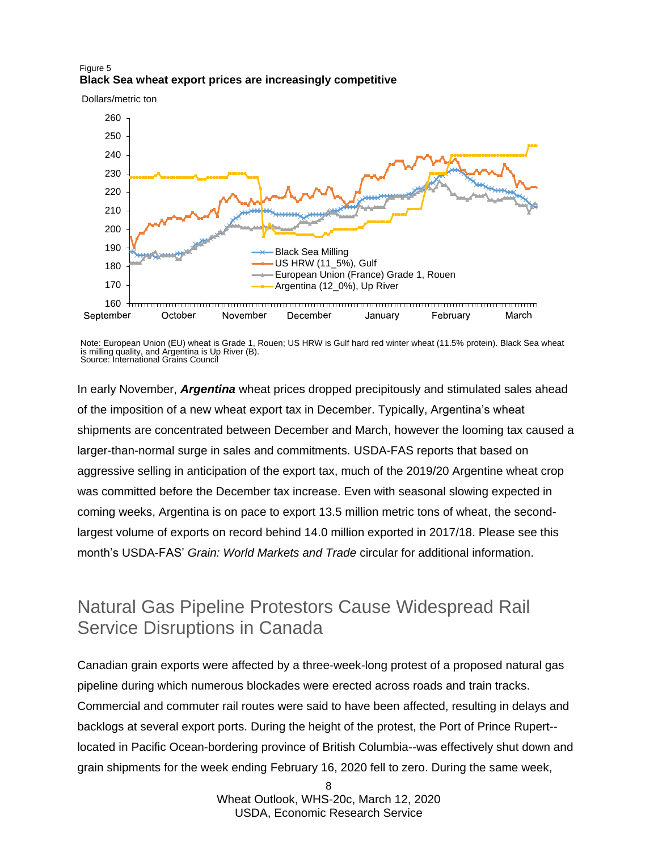#### Figure 5 **Black Sea wheat export prices are increasingly competitive**

Dollars/metric ton



Note: European Union (EU) wheat is Grade 1, Rouen; US HRW is Gulf hard red winter wheat (11.5% protein). Black Sea wheat is milling quality, and Argentina is Up River (B). Source: International Grains Council

In early November, *Argentina* wheat prices dropped precipitously and stimulated sales ahead of the imposition of a new wheat export tax in December. Typically, Argentina's wheat shipments are concentrated between December and March, however the looming tax caused a larger-than-normal surge in sales and commitments. USDA-FAS reports that based on aggressive selling in anticipation of the export tax, much of the 2019/20 Argentine wheat crop was committed before the December tax increase. Even with seasonal slowing expected in coming weeks, Argentina is on pace to export 13.5 million metric tons of wheat, the secondlargest volume of exports on record behind 14.0 million exported in 2017/18. Please see this month's USDA-FAS' *Grain: World Markets and Trade* circular for additional information.

### Natural Gas Pipeline Protestors Cause Widespread Rail Service Disruptions in Canada

Canadian grain exports were affected by a three-week-long protest of a proposed natural gas pipeline during which numerous blockades were erected across roads and train tracks. Commercial and commuter rail routes were said to have been affected, resulting in delays and backlogs at several export ports. During the height of the protest, the Port of Prince Rupert- located in Pacific Ocean-bordering province of British Columbia--was effectively shut down and grain shipments for the week ending February 16, 2020 fell to zero. During the same week,

> Ω. Wheat Outlook, WHS-20c, March 12, 2020 USDA, Economic Research Service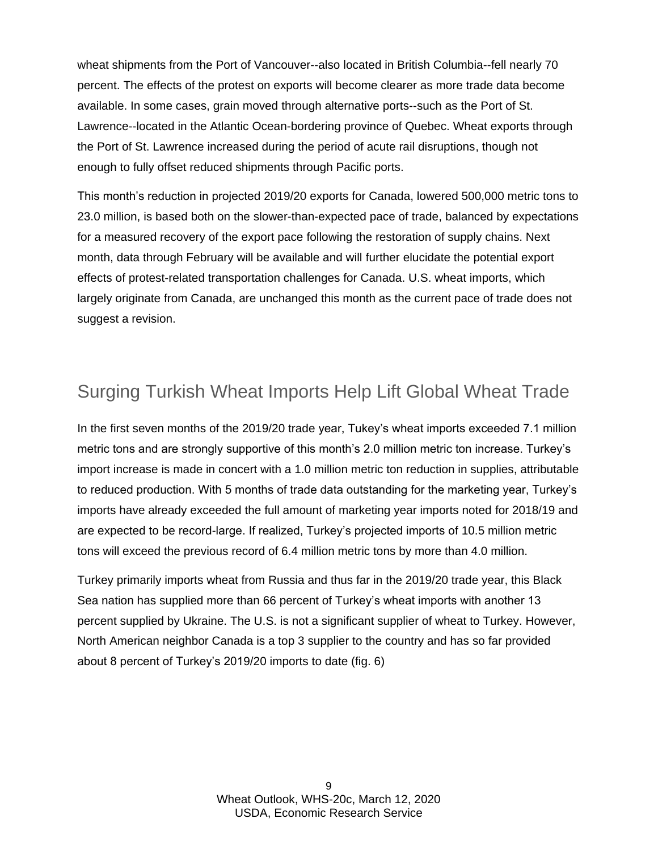wheat shipments from the Port of Vancouver--also located in British Columbia--fell nearly 70 percent. The effects of the protest on exports will become clearer as more trade data become available. In some cases, grain moved through alternative ports--such as the Port of St. Lawrence--located in the Atlantic Ocean-bordering province of Quebec. Wheat exports through the Port of St. Lawrence increased during the period of acute rail disruptions, though not enough to fully offset reduced shipments through Pacific ports.

This month's reduction in projected 2019/20 exports for Canada, lowered 500,000 metric tons to 23.0 million, is based both on the slower-than-expected pace of trade, balanced by expectations for a measured recovery of the export pace following the restoration of supply chains. Next month, data through February will be available and will further elucidate the potential export effects of protest-related transportation challenges for Canada. U.S. wheat imports, which largely originate from Canada, are unchanged this month as the current pace of trade does not suggest a revision.

### Surging Turkish Wheat Imports Help Lift Global Wheat Trade

In the first seven months of the 2019/20 trade year, Tukey's wheat imports exceeded 7.1 million metric tons and are strongly supportive of this month's 2.0 million metric ton increase. Turkey's import increase is made in concert with a 1.0 million metric ton reduction in supplies, attributable to reduced production. With 5 months of trade data outstanding for the marketing year, Turkey's imports have already exceeded the full amount of marketing year imports noted for 2018/19 and are expected to be record-large. If realized, Turkey's projected imports of 10.5 million metric tons will exceed the previous record of 6.4 million metric tons by more than 4.0 million.

Turkey primarily imports wheat from Russia and thus far in the 2019/20 trade year, this Black Sea nation has supplied more than 66 percent of Turkey's wheat imports with another 13 percent supplied by Ukraine. The U.S. is not a significant supplier of wheat to Turkey. However, North American neighbor Canada is a top 3 supplier to the country and has so far provided about 8 percent of Turkey's 2019/20 imports to date (fig. 6)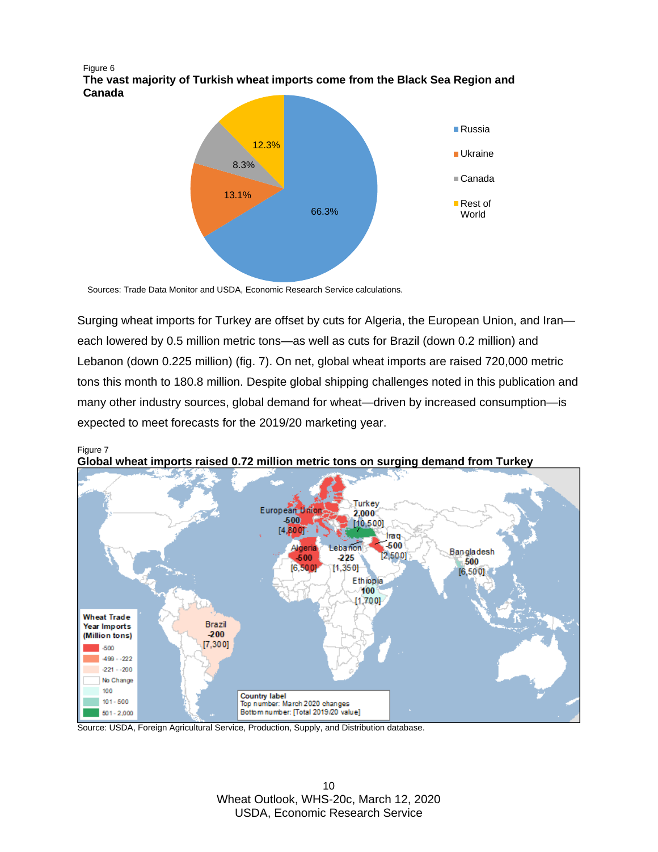Figure 6 **The vast majority of Turkish wheat imports come from the Black Sea Region and Canada**



Sources: Trade Data Monitor and USDA, Economic Research Service calculations*.* 

Surging wheat imports for Turkey are offset by cuts for Algeria, the European Union, and Iran each lowered by 0.5 million metric tons—as well as cuts for Brazil (down 0.2 million) and Lebanon (down 0.225 million) (fig. 7). On net, global wheat imports are raised 720,000 metric tons this month to 180.8 million. Despite global shipping challenges noted in this publication and many other industry sources, global demand for wheat—driven by increased consumption—is expected to meet forecasts for the 2019/20 marketing year.



Figure 7 **Global wheat imports raised 0.72 million metric tons on surging demand from Turkey**

Source: USDA, Foreign Agricultural Service, Production, Supply, and Distribution database.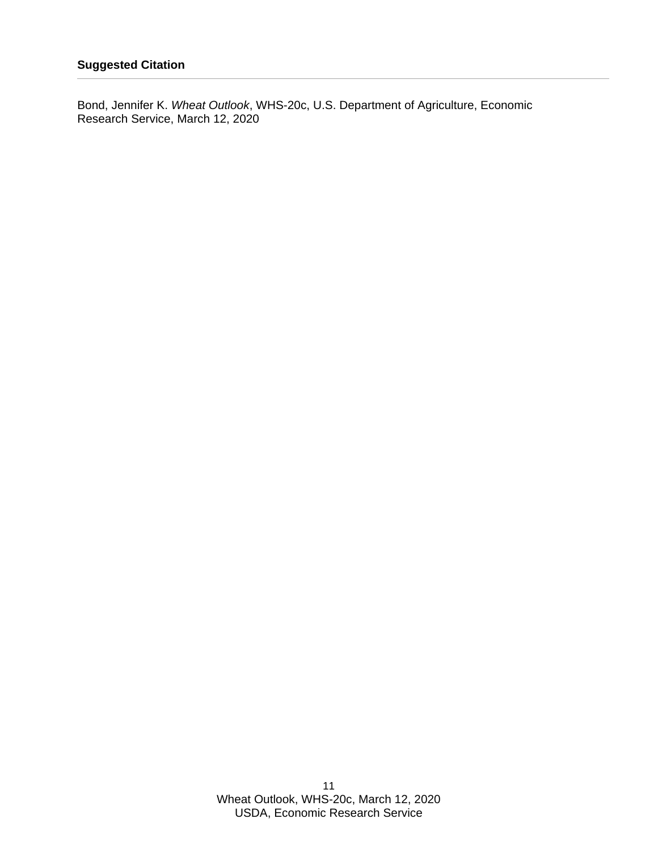Bond, Jennifer K. *Wheat Outlook*, WHS-20c, U.S. Department of Agriculture, Economic Research Service, March 12, 2020